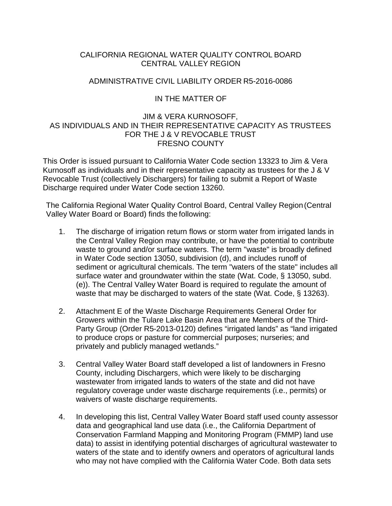### CALIFORNIA REGIONAL WATER QUALITY CONTROL BOARD CENTRAL VALLEY REGION

#### ADMINISTRATIVE CIVIL LIABILITY ORDER R5-2016-0086

### IN THE MATTER OF

## JIM & VERA KURNOSOFF, AS INDIVIDUALS AND IN THEIR REPRESENTATIVE CAPACITY AS TRUSTEES FOR THE J & V REVOCABLE TRUST FRESNO COUNTY

This Order is issued pursuant to California Water Code section 13323 to Jim & Vera Kurnosoff as individuals and in their representative capacity as trustees for the J & V Revocable Trust (collectively Dischargers) for failing to submit a Report of Waste Discharge required under Water Code section 13260.

The California Regional Water Quality Control Board, Central Valley Region(Central Valley Water Board or Board) finds the following:

- 1. The discharge of irrigation return flows or storm water from irrigated lands in the Central Valley Region may contribute, or have the potential to contribute waste to ground and/or surface waters. The term "waste" is broadly defined in Water Code section 13050, subdivision (d), and includes runoff of sediment or agricultural chemicals. The term "waters of the state" includes all surface water and groundwater within the state (Wat. Code, § 13050, subd. (e)). The Central Valley Water Board is required to regulate the amount of waste that may be discharged to waters of the state (Wat. Code, § 13263).
- 2. Attachment E of the Waste Discharge Requirements General Order for Growers within the Tulare Lake Basin Area that are Members of the Third-Party Group (Order R5-2013-0120) defines "irrigated lands" as "land irrigated to produce crops or pasture for commercial purposes; nurseries; and privately and publicly managed wetlands."
- 3. Central Valley Water Board staff developed a list of landowners in Fresno County, including Dischargers, which were likely to be discharging wastewater from irrigated lands to waters of the state and did not have regulatory coverage under waste discharge requirements (i.e., permits) or waivers of waste discharge requirements.
- 4. In developing this list, Central Valley Water Board staff used county assessor data and geographical land use data (i.e., the California Department of Conservation Farmland Mapping and Monitoring Program (FMMP) land use data) to assist in identifying potential discharges of agricultural wastewater to waters of the state and to identify owners and operators of agricultural lands who may not have complied with the California Water Code. Both data sets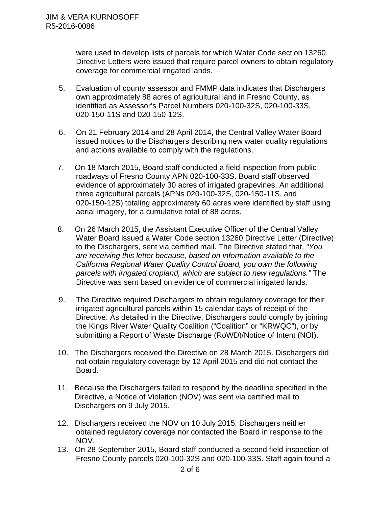were used to develop lists of parcels for which Water Code section 13260 Directive Letters were issued that require parcel owners to obtain regulatory coverage for commercial irrigated lands.

- 5. Evaluation of county assessor and FMMP data indicates that Dischargers own approximately 88 acres of agricultural land in Fresno County, as identified as Assessor's Parcel Numbers 020-100-32S, 020-100-33S, 020-150-11S and 020-150-12S.
- 6. On 21 February 2014 and 28 April 2014, the Central Valley Water Board issued notices to the Dischargers describing new water quality regulations and actions available to comply with the regulations.
- 7. On 18 March 2015, Board staff conducted a field inspection from public roadways of Fresno County APN 020-100-33S. Board staff observed evidence of approximately 30 acres of irrigated grapevines. An additional three agricultural parcels (APNs 020-100-32S, 020-150-11S, and 020-150-12S) totaling approximately 60 acres were identified by staff using aerial imagery, for a cumulative total of 88 acres.
- 8. On 26 March 2015, the Assistant Executive Officer of the Central Valley Water Board issued a Water Code section 13260 Directive Letter (Directive) to the Dischargers, sent via certified mail. The Directive stated that, *"You are receiving this letter because, based on information available to the California Regional Water Quality Control Board, you own the following parcels with irrigated cropland, which are subject to new regulations."* The Directive was sent based on evidence of commercial irrigated lands.
- 9. The Directive required Dischargers to obtain regulatory coverage for their irrigated agricultural parcels within 15 calendar days of receipt of the Directive. As detailed in the Directive, Dischargers could comply by joining the Kings River Water Quality Coalition ("Coalition" or "KRWQC"), or by submitting a Report of Waste Discharge (RoWD)/Notice of Intent (NOI).
- 10. The Dischargers received the Directive on 28 March 2015. Dischargers did not obtain regulatory coverage by 12 April 2015 and did not contact the Board.
- 11. Because the Dischargers failed to respond by the deadline specified in the Directive, a Notice of Violation (NOV) was sent via certified mail to Dischargers on 9 July 2015.
- 12. Dischargers received the NOV on 10 July 2015. Dischargers neither obtained regulatory coverage nor contacted the Board in response to the NOV.
- 13. On 28 September 2015, Board staff conducted a second field inspection of Fresno County parcels 020-100-32S and 020-100-33S. Staff again found a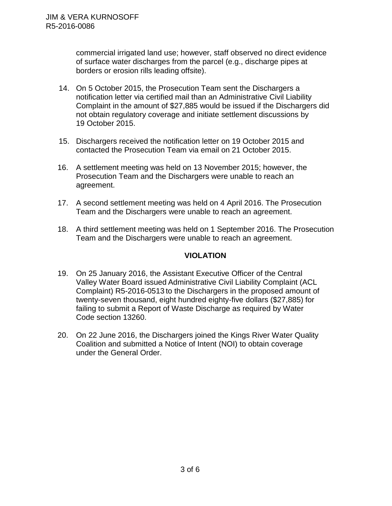commercial irrigated land use; however, staff observed no direct evidence of surface water discharges from the parcel (e.g., discharge pipes at borders or erosion rills leading offsite).

- 14. On 5 October 2015, the Prosecution Team sent the Dischargers a notification letter via certified mail than an Administrative Civil Liability Complaint in the amount of \$27,885 would be issued if the Dischargers did not obtain regulatory coverage and initiate settlement discussions by 19 October 2015.
- 15. Dischargers received the notification letter on 19 October 2015 and contacted the Prosecution Team via email on 21 October 2015.
- 16. A settlement meeting was held on 13 November 2015; however, the Prosecution Team and the Dischargers were unable to reach an agreement.
- 17. A second settlement meeting was held on 4 April 2016. The Prosecution Team and the Dischargers were unable to reach an agreement.
- 18. A third settlement meeting was held on 1 September 2016. The Prosecution Team and the Dischargers were unable to reach an agreement.

## **VIOLATION**

- 19. On 25 January 2016, the Assistant Executive Officer of the Central Valley Water Board issued Administrative Civil Liability Complaint (ACL Complaint) R5-2016-0513 to the Dischargers in the proposed amount of twenty-seven thousand, eight hundred eighty-five dollars (\$27,885) for failing to submit a Report of Waste Discharge as required by Water Code section 13260.
- 20. On 22 June 2016, the Dischargers joined the Kings River Water Quality Coalition and submitted a Notice of Intent (NOI) to obtain coverage under the General Order.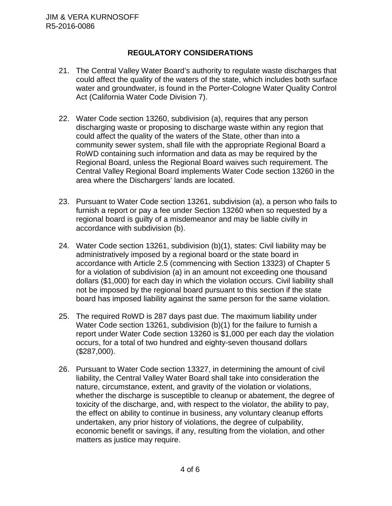# **REGULATORY CONSIDERATIONS**

- 21. The Central Valley Water Board's authority to regulate waste discharges that could affect the quality of the waters of the state, which includes both surface water and groundwater, is found in the Porter-Cologne Water Quality Control Act (California Water Code Division 7).
- 22. Water Code section 13260, subdivision (a), requires that any person discharging waste or proposing to discharge waste within any region that could affect the quality of the waters of the State, other than into a community sewer system, shall file with the appropriate Regional Board a RoWD containing such information and data as may be required by the Regional Board, unless the Regional Board waives such requirement. The Central Valley Regional Board implements Water Code section 13260 in the area where the Dischargers' lands are located.
- 23. Pursuant to Water Code section 13261, subdivision (a), a person who fails to furnish a report or pay a fee under Section 13260 when so requested by a regional board is guilty of a misdemeanor and may be liable civilly in accordance with subdivision (b).
- 24. Water Code section 13261, subdivision (b)(1), states: Civil liability may be administratively imposed by a regional board or the state board in accordance with Article 2.5 (commencing with Section 13323) of Chapter 5 for a violation of subdivision (a) in an amount not exceeding one thousand dollars (\$1,000) for each day in which the violation occurs. Civil liability shall not be imposed by the regional board pursuant to this section if the state board has imposed liability against the same person for the same violation.
- 25. The required RoWD is 287 days past due. The maximum liability under Water Code section 13261, subdivision (b)(1) for the failure to furnish a report under Water Code section 13260 is \$1,000 per each day the violation occurs, for a total of two hundred and eighty-seven thousand dollars (\$287,000).
- 26. Pursuant to Water Code section 13327, in determining the amount of civil liability, the Central Valley Water Board shall take into consideration the nature, circumstance, extent, and gravity of the violation or violations, whether the discharge is susceptible to cleanup or abatement, the degree of toxicity of the discharge, and, with respect to the violator, the ability to pay, the effect on ability to continue in business, any voluntary cleanup efforts undertaken, any prior history of violations, the degree of culpability, economic benefit or savings, if any, resulting from the violation, and other matters as justice may require.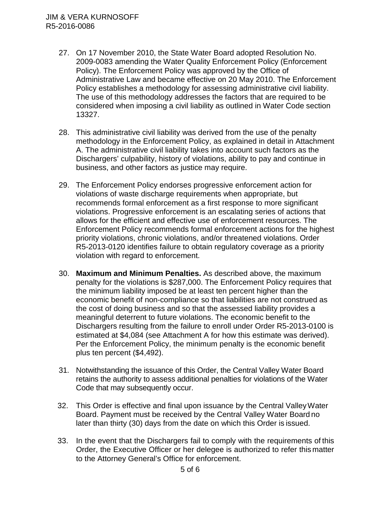- 27. On 17 November 2010, the State Water Board adopted Resolution No. 2009-0083 amending the Water Quality Enforcement Policy (Enforcement Policy). The Enforcement Policy was approved by the Office of Administrative Law and became effective on 20 May 2010. The Enforcement Policy establishes a methodology for assessing administrative civil liability. The use of this methodology addresses the factors that are required to be considered when imposing a civil liability as outlined in Water Code section 13327.
- 28. This administrative civil liability was derived from the use of the penalty methodology in the Enforcement Policy, as explained in detail in Attachment A. The administrative civil liability takes into account such factors as the Dischargers' culpability, history of violations, ability to pay and continue in business, and other factors as justice may require.
- 29. The Enforcement Policy endorses progressive enforcement action for violations of waste discharge requirements when appropriate, but recommends formal enforcement as a first response to more significant violations. Progressive enforcement is an escalating series of actions that allows for the efficient and effective use of enforcement resources. The Enforcement Policy recommends formal enforcement actions for the highest priority violations, chronic violations, and/or threatened violations. Order R5-2013-0120 identifies failure to obtain regulatory coverage as a priority violation with regard to enforcement.
- 30. **Maximum and Minimum Penalties.** As described above, the maximum penalty for the violations is \$287,000. The Enforcement Policy requires that the minimum liability imposed be at least ten percent higher than the economic benefit of non-compliance so that liabilities are not construed as the cost of doing business and so that the assessed liability provides a meaningful deterrent to future violations. The economic benefit to the Dischargers resulting from the failure to enroll under Order R5-2013-0100 is estimated at \$4,084 (see Attachment A for how this estimate was derived). Per the Enforcement Policy, the minimum penalty is the economic benefit plus ten percent (\$4,492).
- 31. Notwithstanding the issuance of this Order, the Central Valley Water Board retains the authority to assess additional penalties for violations of the Water Code that may subsequently occur.
- 32. This Order is effective and final upon issuance by the Central ValleyWater Board. Payment must be received by the Central Valley Water Board no later than thirty (30) days from the date on which this Order is issued.
- 33. In the event that the Dischargers fail to comply with the requirements of this Order, the Executive Officer or her delegee is authorized to refer this matter to the Attorney General's Office for enforcement.